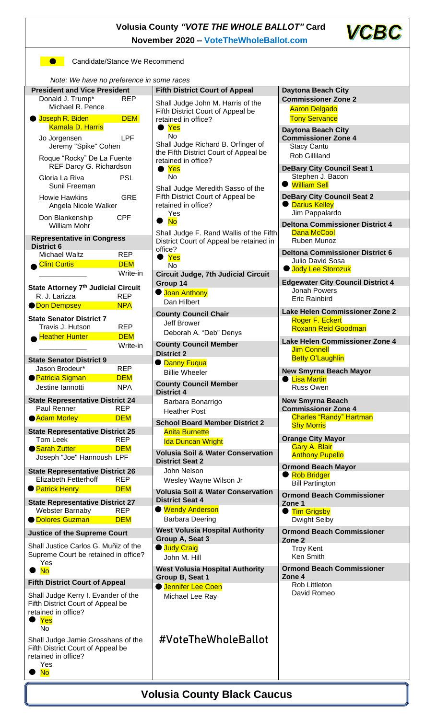



**Candidate/Stance We Recommend** 

*Note: We have no preference in some races*

| <i>HOLD.</i> We have no proference in some races<br><b>President and Vice President</b> |            | <b>Fifth District Court of Appeal</b>                                                                               | <b>Daytona Beach City</b>                             |  |  |
|-----------------------------------------------------------------------------------------|------------|---------------------------------------------------------------------------------------------------------------------|-------------------------------------------------------|--|--|
| Donald J. Trump*<br><b>REP</b>                                                          |            | Shall Judge John M. Harris of the<br>Fifth District Court of Appeal be<br>retained in office?                       | <b>Commissioner Zone 2</b>                            |  |  |
| Michael R. Pence                                                                        |            |                                                                                                                     | <b>Aaron Delgado</b>                                  |  |  |
| <b>Joseph R. Biden</b><br><b>DEM</b>                                                    |            |                                                                                                                     | <b>Tony Servance</b>                                  |  |  |
| <b>Kamala D. Harris</b>                                                                 |            | $\bullet$ Yes<br><b>No</b>                                                                                          | <b>Daytona Beach City</b>                             |  |  |
| Jo Jorgensen                                                                            | <b>LPF</b> |                                                                                                                     | <b>Commissioner Zone 4</b>                            |  |  |
| Jeremy "Spike" Cohen                                                                    |            | Shall Judge Richard B. Orfinger of<br>the Fifth District Court of Appeal be<br>retained in office?<br>$\bullet$ Yes | <b>Stacy Cantu</b>                                    |  |  |
| Roque "Rocky" De La Fuente                                                              |            |                                                                                                                     | <b>Rob Gilliland</b>                                  |  |  |
| REF Darcy G. Richardson                                                                 |            |                                                                                                                     | <b>DeBary City Council Seat 1</b>                     |  |  |
| Gloria La Riva                                                                          | <b>PSL</b> | <b>No</b>                                                                                                           | Stephen J. Bacon                                      |  |  |
| Sunil Freeman                                                                           |            | Shall Judge Meredith Sasso of the                                                                                   | <b>U</b> William Sell                                 |  |  |
| <b>Howie Hawkins</b>                                                                    | <b>GRE</b> | Fifth District Court of Appeal be                                                                                   | <b>DeBary City Council Seat 2</b>                     |  |  |
| Angela Nicole Walker                                                                    |            | retained in office?<br>Yes                                                                                          | <b>O</b> Darius Kelley<br>Jim Pappalardo              |  |  |
| Don Blankenship                                                                         | <b>CPF</b> | No<br>$\bullet$                                                                                                     | <b>Deltona Commissioner District 4</b>                |  |  |
| <b>William Mohr</b>                                                                     |            | Shall Judge F. Rand Wallis of the Fifth                                                                             | <b>Dana McCool</b>                                    |  |  |
| <b>Representative in Congress</b>                                                       |            | District Court of Appeal be retained in                                                                             | Ruben Munoz                                           |  |  |
| <b>District 6</b><br><b>Michael Waltz</b>                                               | <b>REP</b> | office?                                                                                                             | <b>Deltona Commissioner District 6</b>                |  |  |
| <b>Clint Curtis</b>                                                                     | <b>DEM</b> | Yes<br>●<br>No                                                                                                      | <b>Julio David Sosa</b>                               |  |  |
|                                                                                         | Write-in   | <b>Circuit Judge, 7th Judicial Circuit</b>                                                                          | <b>Jody Lee Storozuk</b>                              |  |  |
|                                                                                         |            | Group 14                                                                                                            | <b>Edgewater City Council District 4</b>              |  |  |
| State Attorney 7 <sup>th</sup> Judicial Circuit<br>R. J. Larizza                        | <b>REP</b> | <b>Joan Anthony</b>                                                                                                 | Jonah Powers                                          |  |  |
| <b>ODon Dempsey</b>                                                                     | <b>NPA</b> | Dan Hilbert                                                                                                         | <b>Eric Rainbird</b>                                  |  |  |
|                                                                                         |            | <b>County Council Chair</b>                                                                                         | Lake Helen Commissioner Zone 2                        |  |  |
| <b>State Senator District 7</b><br>Travis J. Hutson                                     | <b>REP</b> | Jeff Brower                                                                                                         | Roger F. Eckert<br><b>Roxann Reid Goodman</b>         |  |  |
| <b>Heather Hunter</b>                                                                   | <b>DEM</b> | Deborah A. "Deb" Denys                                                                                              |                                                       |  |  |
|                                                                                         | Write-in   | <b>County Council Member</b>                                                                                        | Lake Helen Commissioner Zone 4                        |  |  |
|                                                                                         |            | <b>District 2</b>                                                                                                   | <b>Jim Connell</b><br><b>Betty O'Laughlin</b>         |  |  |
| <b>State Senator District 9</b><br>Jason Brodeur*                                       | <b>REP</b> | <b>O</b> Danny Fuqua                                                                                                |                                                       |  |  |
| <b>Patricia Sigman</b>                                                                  | <b>DEM</b> | <b>Billie Wheeler</b>                                                                                               | <b>New Smyrna Beach Mayor</b><br><b>C</b> Lisa Martin |  |  |
| Jestine lannotti                                                                        | <b>NPA</b> | <b>County Council Member</b>                                                                                        | <b>Russ Owen</b>                                      |  |  |
| <b>State Representative District 24</b>                                                 |            | <b>District 4</b>                                                                                                   | <b>New Smyrna Beach</b>                               |  |  |
| Paul Renner                                                                             | <b>REP</b> | Barbara Bonarrigo<br><b>Heather Post</b>                                                                            | <b>Commissioner Zone 4</b>                            |  |  |
| <b>Adam Morley</b>                                                                      | <b>DEM</b> | <b>School Board Member District 2</b>                                                                               | <b>Charles "Randy" Hartman</b>                        |  |  |
| <b>State Representative District 25</b>                                                 |            | <b>Anita Burnette</b>                                                                                               | <b>Shy Morris</b>                                     |  |  |
| <b>Tom Leek</b>                                                                         | <b>REP</b> | <b>Ida Duncan Wright</b>                                                                                            | <b>Orange City Mayor</b>                              |  |  |
| Sarah Zutter                                                                            | <b>DEM</b> | <b>Volusia Soil &amp; Water Conservation</b>                                                                        | <b>Gary A. Blair</b><br><b>Anthony Pupello</b>        |  |  |
| Joseph "Joe" Hannoush LPF                                                               |            | <b>District Seat 2</b>                                                                                              |                                                       |  |  |
| <b>State Representative District 26</b>                                                 |            | John Nelson                                                                                                         | <b>Ormond Beach Mayor</b><br>Rob Bridger              |  |  |
| Elizabeth Fetterhoff                                                                    | <b>REP</b> | Wesley Wayne Wilson Jr                                                                                              | <b>Bill Partington</b>                                |  |  |
| <b>Patrick Henry</b>                                                                    | <b>DEM</b> | <b>Volusia Soil &amp; Water Conservation</b>                                                                        | <b>Ormond Beach Commissioner</b>                      |  |  |
| <b>State Representative District 27</b>                                                 |            | <b>District Seat 4</b>                                                                                              | Zone 1                                                |  |  |
| <b>Webster Barnaby</b>                                                                  | <b>REP</b> | ● Wendy Anderson                                                                                                    | ● Tim Grigsby                                         |  |  |
| <b>OD</b> Dolores Guzman                                                                | <b>DEM</b> | <b>Barbara Deering</b>                                                                                              | <b>Dwight Selby</b>                                   |  |  |
| <b>Justice of the Supreme Court</b>                                                     |            | <b>West Volusia Hospital Authority</b><br>Group A, Seat 3                                                           | <b>Ormond Beach Commissioner</b>                      |  |  |
| Shall Justice Carlos G. Muñiz of the                                                    |            | <b>Uudy Craig</b>                                                                                                   | Zone <sub>2</sub><br><b>Troy Kent</b>                 |  |  |
| Supreme Court be retained in office?                                                    |            | John M. Hill                                                                                                        | Ken Smith                                             |  |  |
| Yes                                                                                     |            | <b>West Volusia Hospital Authority</b>                                                                              | <b>Ormond Beach Commissioner</b>                      |  |  |
| <b>No</b>                                                                               |            | Group B, Seat 1                                                                                                     | Zone 4                                                |  |  |
| <b>Fifth District Court of Appeal</b>                                                   |            | Jennifer Lee Coen                                                                                                   | Rob Littleton                                         |  |  |
| Shall Judge Kerry I. Evander of the<br>Fifth District Court of Appeal be                |            | Michael Lee Ray                                                                                                     | David Romeo                                           |  |  |
| retained in office?<br>$\bullet$ Yes                                                    |            |                                                                                                                     |                                                       |  |  |
| No                                                                                      |            |                                                                                                                     |                                                       |  |  |
| Shall Judge Jamie Grosshans of the                                                      |            | #VoteTheWholeBallot                                                                                                 |                                                       |  |  |
| Fifth District Court of Appeal be                                                       |            |                                                                                                                     |                                                       |  |  |
| retained in office?                                                                     |            |                                                                                                                     |                                                       |  |  |
| Yes<br><b>No</b>                                                                        |            |                                                                                                                     |                                                       |  |  |
|                                                                                         |            |                                                                                                                     |                                                       |  |  |
| <b>Volusia County Black Caucus</b>                                                      |            |                                                                                                                     |                                                       |  |  |
|                                                                                         |            |                                                                                                                     |                                                       |  |  |